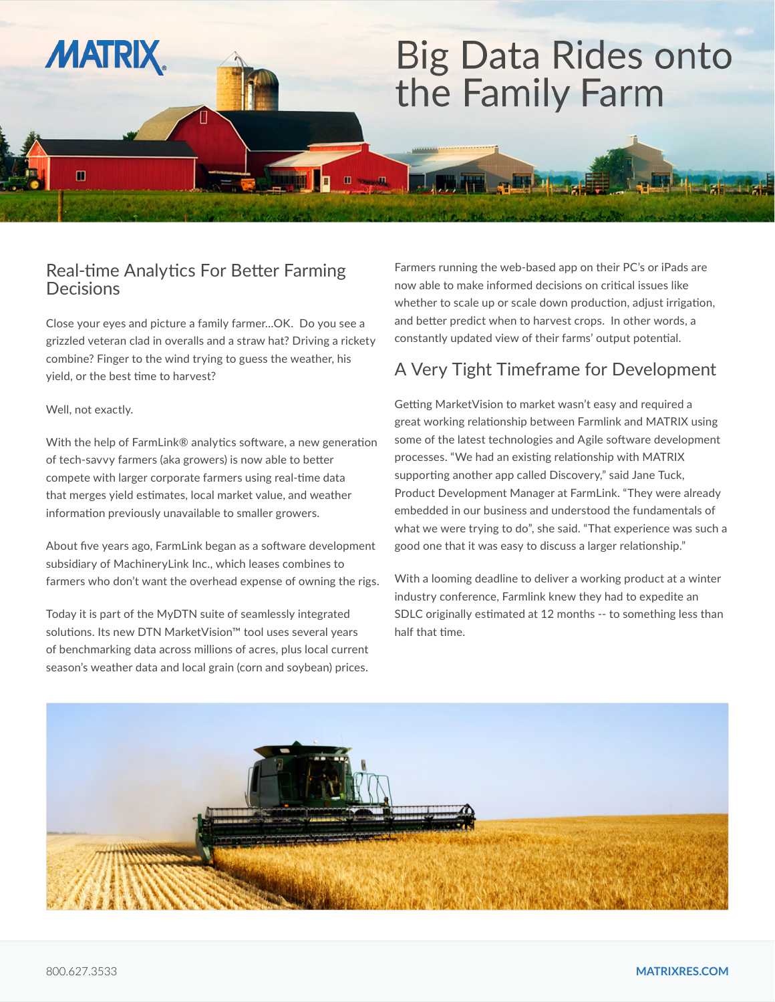# **Big Data Rides onto** the Family Farm

#### Real-time Analytics For Better Farming Decisions

Close your eyes and picture a family farmer…OK. Do you see a grizzled veteran clad in overalls and a straw hat? Driving a rickety combine? Finger to the wind trying to guess the weather, his yield, or the best time to harvest?

#### Well, not exactly.

**MATRIX** 

m

With the help of FarmLink® analytics software, a new generation of tech-savvy farmers (aka growers) is now able to better compete with larger corporate farmers using real-time data that merges yield estimates, local market value, and weather information previously unavailable to smaller growers.

About five years ago, FarmLink began as a software development subsidiary of MachineryLink Inc., which leases combines to farmers who don't want the overhead expense of owning the rigs.

Today it is part of the MyDTN suite of seamlessly integrated solutions. Its new DTN MarketVision™ tool uses several years of benchmarking data across millions of acres, plus local current season's weather data and local grain (corn and soybean) prices.

Farmers running the web-based app on their PC's or iPads are now able to make informed decisions on critical issues like whether to scale up or scale down production, adjust irrigation, and better predict when to harvest crops. In other words, a constantly updated view of their farms' output potential.

### A Very Tight Timeframe for Development

Getting MarketVision to market wasn't easy and required a great working relationship between Farmlink and MATRIX using some of the latest technologies and Agile software development processes. "We had an existing relationship with MATRIX supporting another app called Discovery," said Jane Tuck, Product Development Manager at FarmLink. "They were already embedded in our business and understood the fundamentals of what we were trying to do", she said. "That experience was such a good one that it was easy to discuss a larger relationship."

With a looming deadline to deliver a working product at a winter industry conference, Farmlink knew they had to expedite an SDLC originally estimated at 12 months -- to something less than half that time.



**III** would

0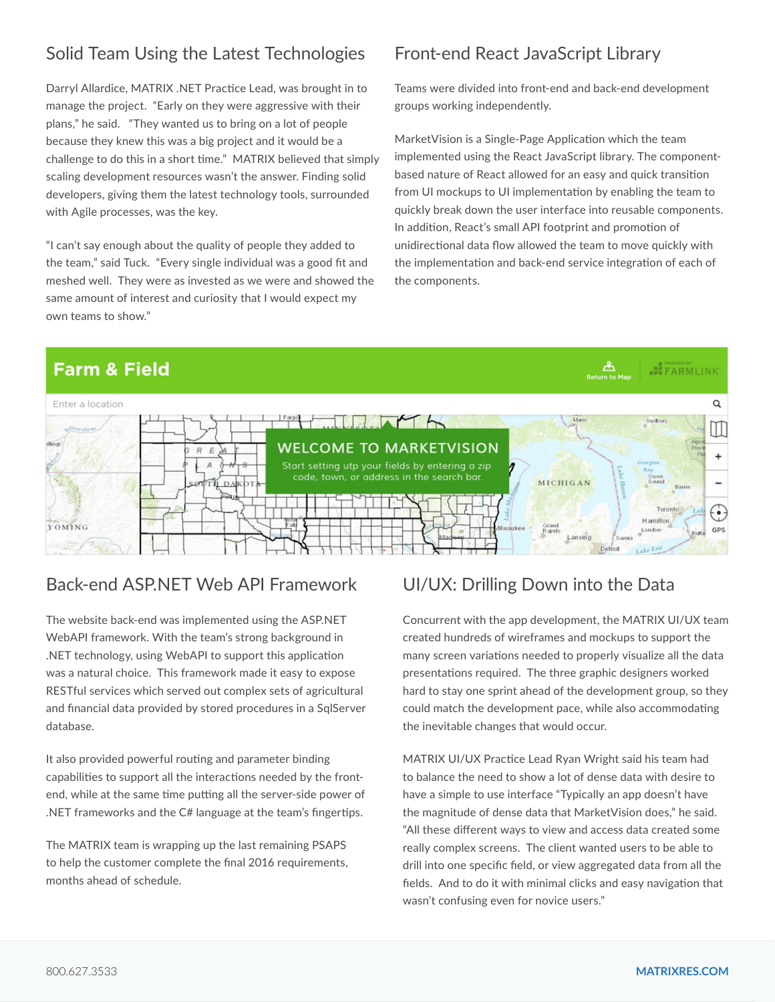# Solid Team Using the Latest Technologies

Darryl Allardice, MATRIX .NET Practice Lead, was brought in to manage the project. "Early on they were aggressive with their plans," he said. "They wanted us to bring on a lot of people because they knew this was a big project and it would be a challenge to do this in a short time." MATRIX believed that simply scaling development resources wasn't the answer. Finding solid developers, giving them the latest technology tools, surrounded with Agile processes, was the key.

"I can't say enough about the quality of people they added to the team," said Tuck. "Every single individual was a good fit and meshed well. They were as invested as we were and showed the same amount of interest and curiosity that I would expect my own teams to show."

## Front-end React JavaScript Library

Teams were divided into front-end and back-end development groups working independently.

MarketVision is a Single-Page Application which the team implemented using the React JavaScript library. The componentbased nature of React allowed for an easy and quick transition from UI mockups to UI implementation by enabling the team to quickly break down the user interface into reusable components. In addition, React's small API footprint and promotion of unidirectional data flow allowed the team to move quickly with the implementation and back-end service integration of each of the components.

 $\mathbf{A}$ 

**BE FARMLINK** 

## **Farm & Field**



#### Back-end ASP.NET Web API Framework

The website back-end was implemented using the ASP.NET WebAPI framework. With the team's strong background in .NET technology, using WebAPI to support this application was a natural choice. This framework made it easy to expose RESTful services which served out complex sets of agricultural and financial data provided by stored procedures in a SqlServer database.

It also provided powerful routing and parameter binding capabilities to support all the interactions needed by the frontend, while at the same time putting all the server-side power of .NET frameworks and the C# language at the team's fingertips.

The MATRIX team is wrapping up the last remaining PSAPS to help the customer complete the final 2016 requirements, months ahead of schedule.

#### UI/UX: Drilling Down into the Data

Concurrent with the app development, the MATRIX UI/UX team created hundreds of wireframes and mockups to support the many screen variations needed to properly visualize all the data presentations required. The three graphic designers worked hard to stay one sprint ahead of the development group, so they could match the development pace, while also accommodating the inevitable changes that would occur.

MATRIX UI/UX Practice Lead Ryan Wright said his team had to balance the need to show a lot of dense data with desire to have a simple to use interface "Typically an app doesn't have the magnitude of dense data that MarketVision does," he said. "All these different ways to view and access data created some really complex screens. The client wanted users to be able to drill into one specific field, or view aggregated data from all the fields. And to do it with minimal clicks and easy navigation that wasn't confusing even for novice users."